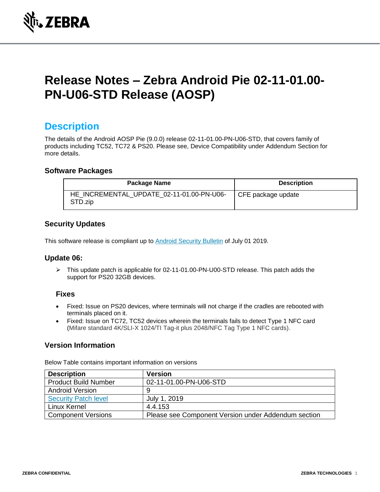

# **Release Notes – Zebra Android Pie 02-11-01.00- PN-U06-STD Release (AOSP)**

## **Description**

The details of the Android AOSP Pie (9.0.0) release 02-11-01.00-PN-U06-STD, that covers family of products including TC52, TC72 & PS20. Please see, Device Compatibility under Addendum Section for more details.

#### **Software Packages**

| <b>Package Name</b>                                  | <b>Description</b> |
|------------------------------------------------------|--------------------|
| HE INCREMENTAL UPDATE 02-11-01.00-PN-U06-<br>STD.zip | CFE package update |

#### **Security Updates**

This software release is compliant up to **Android Security Bulletin** of July 01 2019.

#### **Update 06:**

➢ This update patch is applicable for 02-11-01.00-PN-U00-STD release. This patch adds the support for PS20 32GB devices.

#### **Fixes**

- Fixed: Issue on PS20 devices, where terminals will not charge if the cradles are rebooted with terminals placed on it.
- Fixed: Issue on TC72, TC52 devices wherein the terminals fails to detect Type 1 NFC card (Mifare standard 4K/SLI-X 1024/TI Tag-it plus 2048/NFC Tag Type 1 NFC cards).

### **Version Information**

Below Table contains important information on versions

| <b>Description</b>          | <b>Version</b>                                      |
|-----------------------------|-----------------------------------------------------|
| <b>Product Build Number</b> | 02-11-01.00-PN-U06-STD                              |
| <b>Android Version</b>      | 9                                                   |
| <b>Security Patch level</b> | July 1, 2019                                        |
| Linux Kernel                | 4.4.153                                             |
| <b>Component Versions</b>   | Please see Component Version under Addendum section |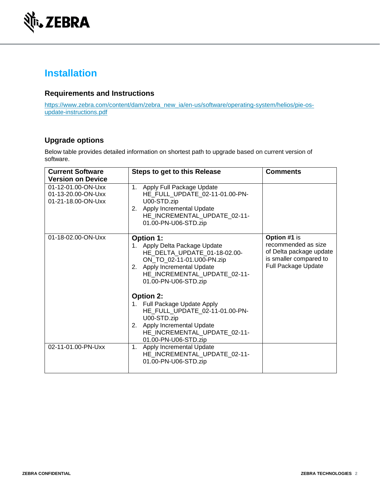

# **Installation**

### **Requirements and Instructions**

[https://www.zebra.com/content/dam/zebra\\_new\\_ia/en-us/software/operating-system/helios/pie-os](https://www.zebra.com/content/dam/zebra_new_ia/en-us/software/operating-system/helios/pie-os-update-instructions.pdf)[update-instructions.pdf](https://www.zebra.com/content/dam/zebra_new_ia/en-us/software/operating-system/helios/pie-os-update-instructions.pdf)

### **Upgrade options**

Below table provides detailed information on shortest path to upgrade based on current version of software.

| <b>Current Software</b><br><b>Version on Device</b>            | <b>Steps to get to this Release</b>                                                                                                                                                                   | <b>Comments</b>                                                                                                        |
|----------------------------------------------------------------|-------------------------------------------------------------------------------------------------------------------------------------------------------------------------------------------------------|------------------------------------------------------------------------------------------------------------------------|
| 01-12-01.00-ON-Uxx<br>01-13-20.00-ON-Uxx<br>01-21-18.00-ON-Uxx | 1. Apply Full Package Update<br>HE_FULL_UPDATE_02-11-01.00-PN-<br>U00-STD.zip<br>2. Apply Incremental Update<br>HE_INCREMENTAL_UPDATE_02-11-<br>01.00-PN-U06-STD.zip                                  |                                                                                                                        |
| 01-18-02.00-ON-Uxx                                             | <b>Option 1:</b><br>1. Apply Delta Package Update<br>HE_DELTA_UPDATE_01-18-02.00-<br>ON_TO_02-11-01.U00-PN.zip<br>2. Apply Incremental Update<br>HE_INCREMENTAL_UPDATE_02-11-<br>01.00-PN-U06-STD.zip | Option #1 is<br>recommended as size<br>of Delta package update<br>is smaller compared to<br><b>Full Package Update</b> |
|                                                                | <b>Option 2:</b><br>1. Full Package Update Apply<br>HE_FULL_UPDATE_02-11-01.00-PN-<br>U00-STD.zip<br>2. Apply Incremental Update<br>HE_INCREMENTAL_UPDATE_02-11-<br>01.00-PN-U06-STD.zip              |                                                                                                                        |
| 02-11-01.00-PN-Uxx                                             | Apply Incremental Update<br>1.<br>HE_INCREMENTAL_UPDATE_02-11-<br>01.00-PN-U06-STD.zip                                                                                                                |                                                                                                                        |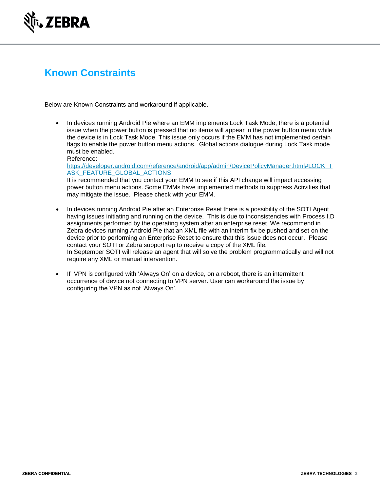

# **Known Constraints**

Below are Known Constraints and workaround if applicable.

• In devices running Android Pie where an EMM implements Lock Task Mode, there is a potential issue when the power button is pressed that no items will appear in the power button menu while the device is in Lock Task Mode. This issue only occurs if the EMM has not implemented certain flags to enable the power button menu actions. Global actions dialogue during Lock Task mode must be enabled. Reference:

[https://developer.android.com/reference/android/app/admin/DevicePolicyManager.html#LOCK\\_T](https://developer.android.com/reference/android/app/admin/DevicePolicyManager.html#LOCK_TASK_FEATURE_GLOBAL_ACTIONS) [ASK\\_FEATURE\\_GLOBAL\\_ACTIONS](https://developer.android.com/reference/android/app/admin/DevicePolicyManager.html#LOCK_TASK_FEATURE_GLOBAL_ACTIONS) It is recommended that you contact your EMM to see if this API change will impact accessing power button menu actions. Some EMMs have implemented methods to suppress Activities that may mitigate the issue. Please check with your EMM.

- In devices running Android Pie after an Enterprise Reset there is a possibility of the SOTI Agent having issues initiating and running on the device. This is due to inconsistencies with Process I.D assignments performed by the operating system after an enterprise reset. We recommend in Zebra devices running Android Pie that an XML file with an interim fix be pushed and set on the device prior to performing an Enterprise Reset to ensure that this issue does not occur. Please contact your SOTI or Zebra support rep to receive a copy of the XML file. In September SOTI will release an agent that will solve the problem programmatically and will not require any XML or manual intervention.
- If VPN is configured with 'Always On' on a device, on a reboot, there is an intermittent occurrence of device not connecting to VPN server. User can workaround the issue by configuring the VPN as not 'Always On'.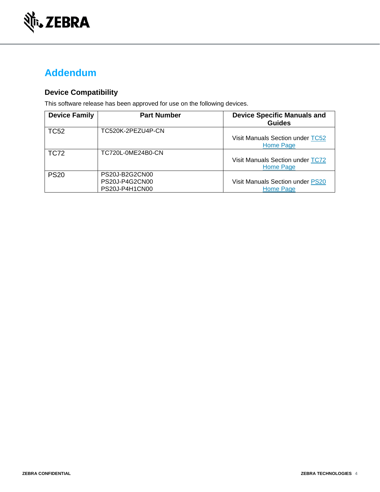

# **Addendum**

### **Device Compatibility**

This software release has been approved for use on the following devices.

| <b>Device Family</b> | <b>Part Number</b>                                 | <b>Device Specific Manuals and</b><br><b>Guides</b> |
|----------------------|----------------------------------------------------|-----------------------------------------------------|
| <b>TC52</b>          | TC520K-2PEZU4P-CN                                  | Visit Manuals Section under TC52<br>Home Page       |
| <b>TC72</b>          | TC720L-0ME24B0-CN                                  | Visit Manuals Section under TC72<br>Home Page       |
| <b>PS20</b>          | PS20J-B2G2CN00<br>PS20J-P4G2CN00<br>PS20J-P4H1CN00 | Visit Manuals Section under PS20<br>Home Page       |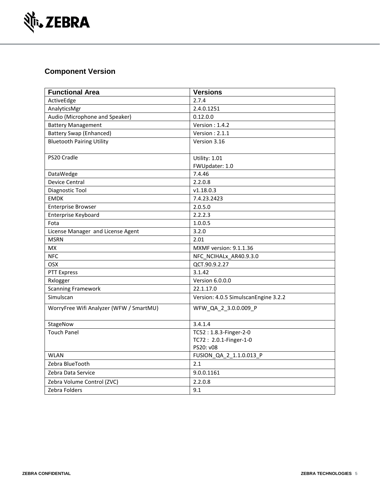

### **Component Version**

| <b>Functional Area</b>                  | <b>Versions</b>                      |
|-----------------------------------------|--------------------------------------|
| ActiveEdge                              | 2.7.4                                |
| AnalyticsMgr                            | 2.4.0.1251                           |
| Audio (Microphone and Speaker)          | 0.12.0.0                             |
| <b>Battery Management</b>               | Version: $1.4.2$                     |
| <b>Battery Swap (Enhanced)</b>          | Version: $2.1.1$                     |
| <b>Bluetooth Pairing Utility</b>        | Version 3.16                         |
| PS20 Cradle                             | Utility: 1.01                        |
|                                         | FWUpdater: 1.0                       |
| DataWedge                               | 7.4.46                               |
| <b>Device Central</b>                   | 2.2.0.8                              |
| Diagnostic Tool                         | V1.18.0.3                            |
| <b>EMDK</b>                             | 7.4.23.2423                          |
| <b>Enterprise Browser</b>               | 2.0.5.0                              |
| <b>Enterprise Keyboard</b>              | 2.2.2.3                              |
| Fota                                    | 1.0.0.5                              |
| License Manager and License Agent       | 3.2.0                                |
| <b>MSRN</b>                             | 2.01                                 |
| <b>MX</b>                               | <b>MXMF</b> version: 9.1.1.36        |
| <b>NFC</b>                              | NFC NCIHALx AR40.9.3.0               |
| <b>OSX</b>                              | QCT.90.9.2.27                        |
| <b>PTT Express</b>                      | 3.1.42                               |
| Rxlogger                                | Version 6.0.0.0                      |
| <b>Scanning Framework</b>               | 22.1.17.0                            |
| Simulscan                               | Version: 4.0.5 SimulscanEngine 3.2.2 |
| WorryFree Wifi Analyzer (WFW / SmartMU) | WFW_QA_2_3.0.0.009_P                 |
| StageNow                                | 3.4.1.4                              |
| <b>Touch Panel</b>                      | TC52: 1.8.3-Finger-2-0               |
|                                         | TC72: 2.0.1-Finger-1-0               |
|                                         | PS20: v08                            |
| <b>WLAN</b>                             | FUSION_QA_2_1.1.0.013_P              |
| Zebra BlueTooth                         | 2.1                                  |
| Zebra Data Service                      | 9.0.0.1161                           |
| Zebra Volume Control (ZVC)              | 2.2.0.8                              |
| Zebra Folders                           | 9.1                                  |